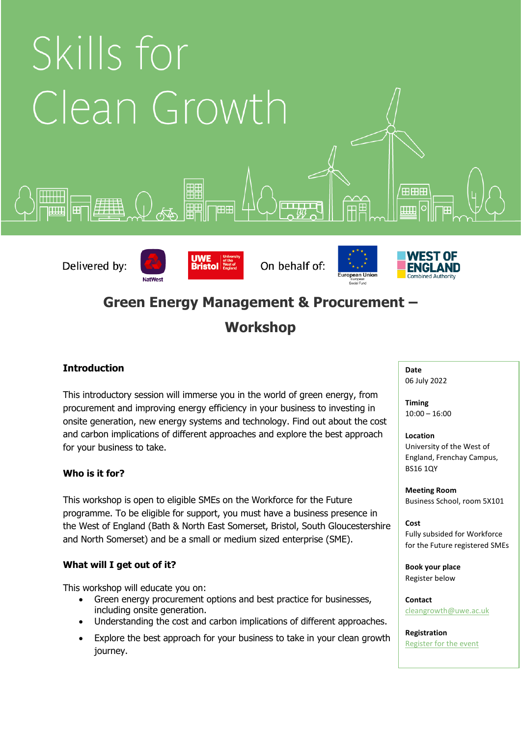

# **Green Energy Management & Procurement –**

# **Workshop**

## **Introduction**

This introductory session will immerse you in the world of green energy, from procurement and improving energy efficiency in your business to investing in onsite generation, new energy systems and technology. Find out about the cost and carbon implications of different approaches and explore the best approach for your business to take.

## **Who is it for?**

This workshop is open to eligible SMEs on the Workforce for the Future programme. To be eligible for support, you must have a business presence in the West of England (Bath & North East Somerset, Bristol, South Gloucestershire and North Somerset) and be a small or medium sized enterprise (SME).

## **What will I get out of it?**

This workshop will educate you on:

- Green energy procurement options and best practice for businesses, including onsite generation.
- Understanding the cost and carbon implications of different approaches.
- Explore the best approach for your business to take in your clean growth journey.

#### **Date** 06 July 2022

**Timing** 10:00 – 16:00

### **Location**

University of the West of England, Frenchay Campus, BS16 1QY

**Meeting Room** Business School, room 5X101

### **Cost**

Fully subsided for Workforce for the Future registered SMEs

**Book your place** Register below

**Contact** [cleangrowth@uwe.ac.uk](mailto:cleangrowth@uwe.ac.uk)

**Registration** [Register for the event](https://forms.office.com/Pages/ResponsePage.aspx?id=CBLvBzxBXkuc3WTvMFdU8HpY9oTjZ6dCiv4oFBWAOjJURFhaWVZBUUU4SFRFM1lBVEVLM0hGOTNWQyQlQCN0PWcu)